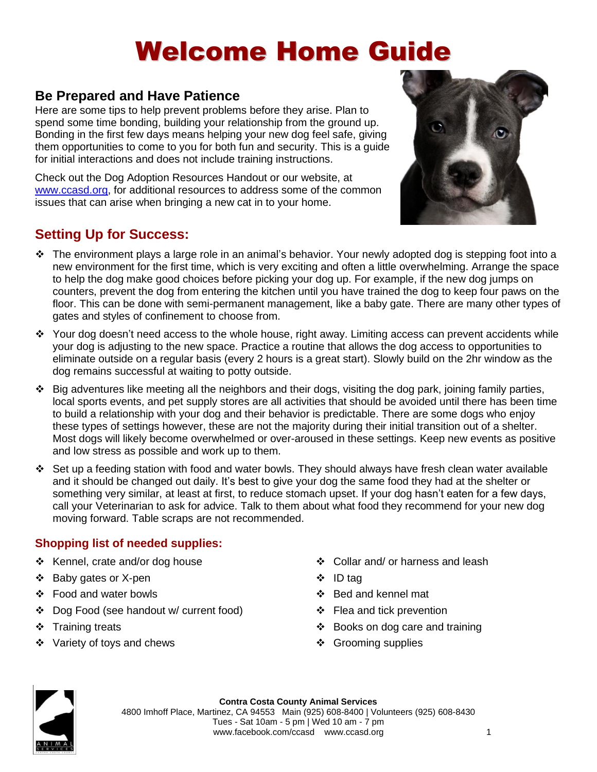# Welcome Home Guide

### **Be Prepared and Have Patience**

Here are some tips to help prevent problems before they arise. Plan to spend some time bonding, building your relationship from the ground up. Bonding in the first few days means helping your new dog feel safe, giving them opportunities to come to you for both fun and security. This is a guide for initial interactions and does not include training instructions.

Check out the Dog Adoption Resources Handout or our website, at [www.ccasd.org,](http://www.ccasd.org/) for additional resources to address some of the common issues that can arise when bringing a new cat in to your home.

### **Setting Up for Success:**



- ❖ The environment plays a large role in an animal's behavior. Your newly adopted dog is stepping foot into a new environment for the first time, which is very exciting and often a little overwhelming. Arrange the space to help the dog make good choices before picking your dog up. For example, if the new dog jumps on counters, prevent the dog from entering the kitchen until you have trained the dog to keep four paws on the floor. This can be done with semi-permanent management, like a baby gate. There are many other types of gates and styles of confinement to choose from.
- ❖ Your dog doesn't need access to the whole house, right away. Limiting access can prevent accidents while your dog is adjusting to the new space. Practice a routine that allows the dog access to opportunities to eliminate outside on a regular basis (every 2 hours is a great start). Slowly build on the 2hr window as the dog remains successful at waiting to potty outside.
- $\div$  Big adventures like meeting all the neighbors and their dogs, visiting the dog park, joining family parties, local sports events, and pet supply stores are all activities that should be avoided until there has been time to build a relationship with your dog and their behavior is predictable. There are some dogs who enjoy these types of settings however, these are not the majority during their initial transition out of a shelter. Most dogs will likely become overwhelmed or over-aroused in these settings. Keep new events as positive and low stress as possible and work up to them.
- ❖ Set up a feeding station with food and water bowls. They should always have fresh clean water available and it should be changed out daily. It's best to give your dog the same food they had at the shelter or something very similar, at least at first, to reduce stomach upset. If your dog hasn't eaten for a few days, call your Veterinarian to ask for advice. Talk to them about what food they recommend for your new dog moving forward. Table scraps are not recommended.

#### **Shopping list of needed supplies:**

- ❖ Kennel, crate and/or dog house
- ❖ Baby gates or X-pen
- ❖ Food and water bowls
- ❖ Dog Food (see handout w/ current food)
- ❖ Training treats
- ❖ Variety of toys and chews
- ❖ Collar and/ or harness and leash
- ❖ ID tag
- ❖ Bed and kennel mat
- ❖ Flea and tick prevention
- ❖ Books on dog care and training
- ❖ Grooming supplies

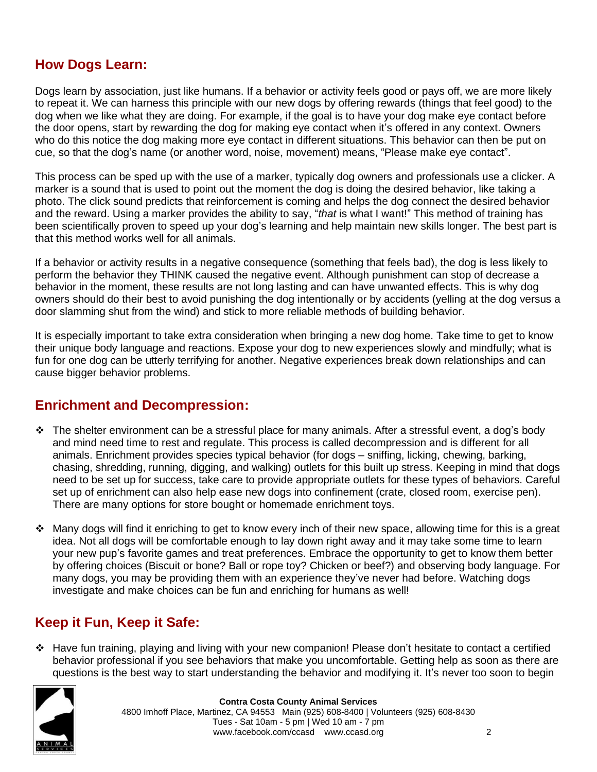#### **How Dogs Learn:**

Dogs learn by association, just like humans. If a behavior or activity feels good or pays off, we are more likely to repeat it. We can harness this principle with our new dogs by offering rewards (things that feel good) to the dog when we like what they are doing. For example, if the goal is to have your dog make eye contact before the door opens, start by rewarding the dog for making eye contact when it's offered in any context. Owners who do this notice the dog making more eye contact in different situations. This behavior can then be put on cue, so that the dog's name (or another word, noise, movement) means, "Please make eye contact".

This process can be sped up with the use of a marker, typically dog owners and professionals use a clicker. A marker is a sound that is used to point out the moment the dog is doing the desired behavior, like taking a photo. The click sound predicts that reinforcement is coming and helps the dog connect the desired behavior and the reward. Using a marker provides the ability to say, "*that* is what I want!" This method of training has been scientifically proven to speed up your dog's learning and help maintain new skills longer. The best part is that this method works well for all animals.

If a behavior or activity results in a negative consequence (something that feels bad), the dog is less likely to perform the behavior they THINK caused the negative event. Although punishment can stop of decrease a behavior in the moment, these results are not long lasting and can have unwanted effects. This is why dog owners should do their best to avoid punishing the dog intentionally or by accidents (yelling at the dog versus a door slamming shut from the wind) and stick to more reliable methods of building behavior.

It is especially important to take extra consideration when bringing a new dog home. Take time to get to know their unique body language and reactions. Expose your dog to new experiences slowly and mindfully; what is fun for one dog can be utterly terrifying for another. Negative experiences break down relationships and can cause bigger behavior problems.

#### **Enrichment and Decompression:**

- ❖ The shelter environment can be a stressful place for many animals. After a stressful event, a dog's body and mind need time to rest and regulate. This process is called decompression and is different for all animals. Enrichment provides species typical behavior (for dogs – sniffing, licking, chewing, barking, chasing, shredding, running, digging, and walking) outlets for this built up stress. Keeping in mind that dogs need to be set up for success, take care to provide appropriate outlets for these types of behaviors. Careful set up of enrichment can also help ease new dogs into confinement (crate, closed room, exercise pen). There are many options for store bought or homemade enrichment toys.
- ❖ Many dogs will find it enriching to get to know every inch of their new space, allowing time for this is a great idea. Not all dogs will be comfortable enough to lay down right away and it may take some time to learn your new pup's favorite games and treat preferences. Embrace the opportunity to get to know them better by offering choices (Biscuit or bone? Ball or rope toy? Chicken or beef?) and observing body language. For many dogs, you may be providing them with an experience they've never had before. Watching dogs investigate and make choices can be fun and enriching for humans as well!

#### **Keep it Fun, Keep it Safe:**

❖ Have fun training, playing and living with your new companion! Please don't hesitate to contact a certified behavior professional if you see behaviors that make you uncomfortable. Getting help as soon as there are questions is the best way to start understanding the behavior and modifying it. It's never too soon to begin



**Contra Costa County Animal Services**  4800 Imhoff Place, Martinez, CA 94553 Main (925) 608-8400 | Volunteers (925) 608-8430 Tues - Sat 10am - 5 pm | Wed 10 am - 7 pm www.facebook.com/ccasd www.ccasd.org 2